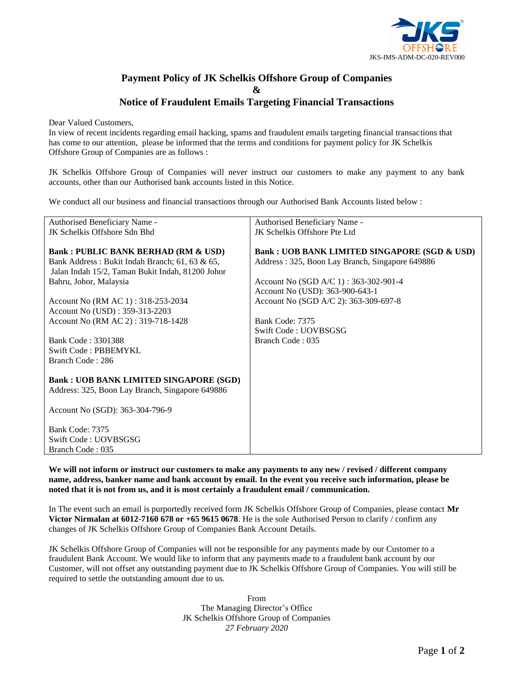

## **Payment Policy of JK Schelkis Offshore Group of Companies & Notice of Fraudulent Emails Targeting Financial Transactions**

Dear Valued Customers,

In view of recent incidents regarding email hacking, spams and fraudulent emails targeting financial transactions that has come to our attention, please be informed that the terms and conditions for payment policy for JK Schelkis Offshore Group of Companies are as follows :

JK Schelkis Offshore Group of Companies will never instruct our customers to make any payment to any bank accounts, other than our Authorised bank accounts listed in this Notice.

We conduct all our business and financial transactions through our Authorised Bank Accounts listed below :

| Authorised Beneficiary Name -                    | Authorised Beneficiary Name -                           |  |
|--------------------------------------------------|---------------------------------------------------------|--|
| JK Schelkis Offshore Sdn Bhd                     | JK Schelkis Offshore Pte Ltd                            |  |
|                                                  |                                                         |  |
| <b>Bank: PUBLIC BANK BERHAD (RM &amp; USD)</b>   | <b>Bank: UOB BANK LIMITED SINGAPORE (SGD &amp; USD)</b> |  |
| Bank Address: Bukit Indah Branch; 61, 63 & 65,   | Address: 325, Boon Lay Branch, Singapore 649886         |  |
| Jalan Indah 15/2, Taman Bukit Indah, 81200 Johor |                                                         |  |
| Bahru, Johor, Malaysia                           | Account No (SGD A/C 1) : $363-302-901-4$                |  |
|                                                  | Account No (USD): 363-900-643-1                         |  |
| Account No (RM AC 1): 318-253-2034               | Account No (SGD A/C 2): 363-309-697-8                   |  |
| Account No (USD): 359-313-2203                   |                                                         |  |
| Account No (RM AC 2): 319-718-1428               | Bank Code: 7375                                         |  |
|                                                  | Swift Code: UOVBSGSG                                    |  |
| Bank Code: 3301388                               | Branch Code: 035                                        |  |
| Swift Code: PBBEMYKL                             |                                                         |  |
| Branch Code: 286                                 |                                                         |  |
|                                                  |                                                         |  |
| <b>Bank : UOB BANK LIMITED SINGAPORE (SGD)</b>   |                                                         |  |
| Address: 325, Boon Lay Branch, Singapore 649886  |                                                         |  |
|                                                  |                                                         |  |
| Account No (SGD): 363-304-796-9                  |                                                         |  |
|                                                  |                                                         |  |
| Bank Code: 7375                                  |                                                         |  |
| Swift Code: UOVBSGSG                             |                                                         |  |
| Branch Code: 035                                 |                                                         |  |

**We will not inform or instruct our customers to make any payments to any new / revised / different company name, address, banker name and bank account by email. In the event you receive such information, please be noted that it is not from us, and it is most certainly a fraudulent email / communication.** 

In The event such an email is purportedly received form JK Schelkis Offshore Group of Companies, please contact **Mr Victor Nirmalan at 6012-7160 678 or +65 9615 0678**. He is the sole Authorised Person to clarify / confirm any changes of JK Schelkis Offshore Group of Companies Bank Account Details.

JK Schelkis Offshore Group of Companies will not be responsible for any payments made by our Customer to a fraudulent Bank Account. We would like to inform that any payments made to a fraudulent bank account by our Customer, will not offset any outstanding payment due to JK Schelkis Offshore Group of Companies. You will still be required to settle the outstanding amount due to us.

> From The Managing Director's Office JK Schelkis Offshore Group of Companies *27 February 2020*